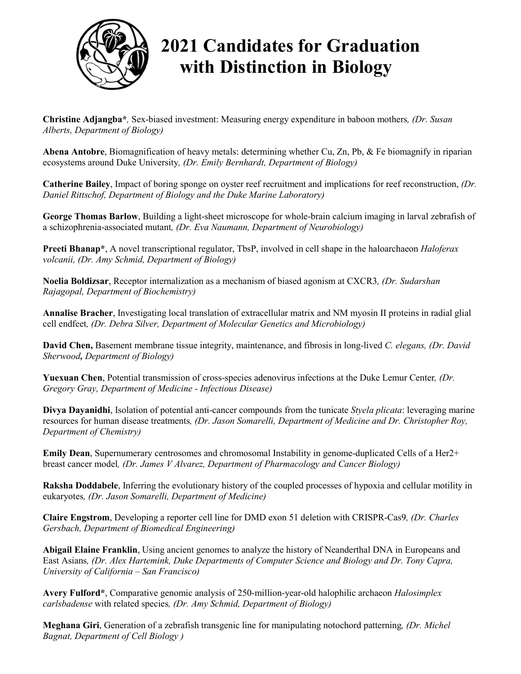

## **2021 Candidates for Graduation with Distinction in Biology**

**Christine Adjangba\****,* Sex-biased investment: Measuring energy expenditure in baboon mothers*, (Dr. Susan Alberts, Department of Biology)*

**Abena Antobre**, Biomagnification of heavy metals: determining whether Cu, Zn, Pb, & Fe biomagnify in riparian ecosystems around Duke University*, (Dr. Emily Bernhardt, Department of Biology)*

**Catherine Bailey**, Impact of boring sponge on oyster reef recruitment and implications for reef reconstruction, *(Dr. Daniel Rittschof, Department of Biology and the Duke Marine Laboratory)*

**George Thomas Barlow**, Building a light-sheet microscope for whole-brain calcium imaging in larval zebrafish of a schizophrenia-associated mutant*, (Dr. Eva Naumann, Department of Neurobiology)*

**Preeti Bhanap\***, A novel transcriptional regulator, TbsP, involved in cell shape in the haloarchaeon *Haloferax volcanii, (Dr. Amy Schmid, Department of Biology)*

**Noelia Boldizsar**, Receptor internalization as a mechanism of biased agonism at CXCR3*, (Dr. Sudarshan Rajagopal, Department of Biochemistry)*

**Annalise Bracher**, Investigating local translation of extracellular matrix and NM myosin II proteins in radial glial cell endfeet*, (Dr. Debra Silver, Department of Molecular Genetics and Microbiology)*

**David Chen,** Basement membrane tissue integrity, maintenance, and fibrosis in long-lived *C. elegans, (Dr. David Sherwood, Department of Biology)*

**Yuexuan Chen**, Potential transmission of cross-species adenovirus infections at the Duke Lemur Center*, (Dr. Gregory Gray, Department of Medicine - Infectious Disease)*

**Divya Dayanidhi**, Isolation of potential anti-cancer compounds from the tunicate *Styela plicata*: leveraging marine resources for human disease treatments*, (Dr. Jason Somarelli, Department of Medicine and Dr. Christopher Roy, Department of Chemistry)*

**Emily Dean**, Supernumerary centrosomes and chromosomal Instability in genome-duplicated Cells of a Her2+ breast cancer model*, (Dr. James V Alvarez, Department of Pharmacology and Cancer Biology)*

**Raksha Doddabele**, Inferring the evolutionary history of the coupled processes of hypoxia and cellular motility in eukaryotes*, (Dr. Jason Somarelli, Department of Medicine)*

**Claire Engstrom**, Developing a reporter cell line for DMD exon 51 deletion with CRISPR-Cas9*, (Dr. Charles Gersbach, Department of Biomedical Engineering)*

**Abigail Elaine Franklin**, Using ancient genomes to analyze the history of Neanderthal DNA in Europeans and East Asians*, (Dr. Alex Hartemink, Duke Departments of Computer Science and Biology and Dr. Tony Capra, University of California – San Francisco)*

**Avery Fulford\***, Comparative genomic analysis of 250-million-year-old halophilic archaeon *Halosimplex carlsbadense* with related species*, (Dr. Amy Schmid, Department of Biology)*

**Meghana Giri**, Generation of a zebrafish transgenic line for manipulating notochord patterning*, (Dr. Michel Bagnat, Department of Cell Biology )*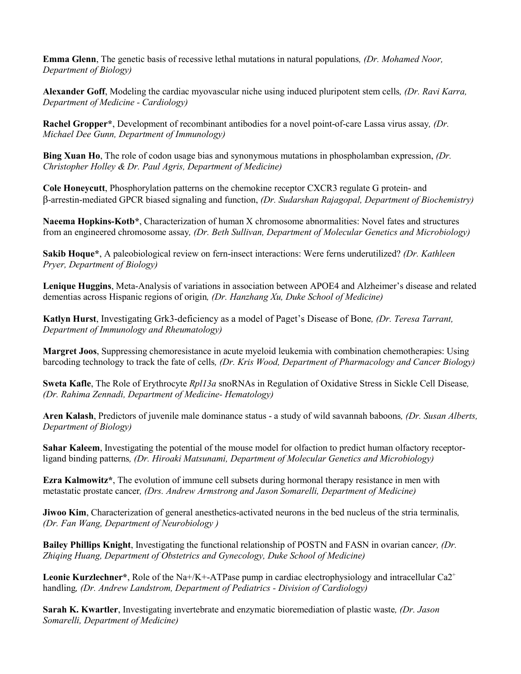**Emma Glenn**, The genetic basis of recessive lethal mutations in natural populations*, (Dr. Mohamed Noor, Department of Biology)*

**Alexander Goff**, Modeling the cardiac myovascular niche using induced pluripotent stem cells*, (Dr. Ravi Karra, Department of Medicine - Cardiology)*

**Rachel Gropper\***, Development of recombinant antibodies for a novel point-of-care Lassa virus assay*, (Dr. Michael Dee Gunn, Department of Immunology)*

**Bing Xuan Ho**, The role of codon usage bias and synonymous mutations in phospholamban expression, *(Dr. Christopher Holley & Dr. Paul Agris, Department of Medicine)*

**Cole Honeycutt**, Phosphorylation patterns on the chemokine receptor CXCR3 regulate G protein- and β-arrestin-mediated GPCR biased signaling and function, *(Dr. Sudarshan Rajagopal, Department of Biochemistry)*

**Naeema Hopkins-Kotb\***, Characterization of human X chromosome abnormalities: Novel fates and structures from an engineered chromosome assay*, (Dr. Beth Sullivan, Department of Molecular Genetics and Microbiology)*

**Sakib Hoque\***, A paleobiological review on fern-insect interactions: Were ferns underutilized? *(Dr. Kathleen Pryer, Department of Biology)*

**Lenique Huggins**, Meta-Analysis of variations in association between APOE4 and Alzheimer's disease and related dementias across Hispanic regions of origin*, (Dr. Hanzhang Xu, Duke School of Medicine)*

**Katlyn Hurst**, Investigating Grk3-deficiency as a model of Paget's Disease of Bone*, (Dr. Teresa Tarrant, Department of Immunology and Rheumatology)*

**Margret Joos**, Suppressing chemoresistance in acute myeloid leukemia with combination chemotherapies: Using barcoding technology to track the fate of cells*, (Dr. Kris Wood, Department of Pharmacology and Cancer Biology)*

**Sweta Kafle**, The Role of Erythrocyte *Rpl13a* snoRNAs in Regulation of Oxidative Stress in Sickle Cell Disease*, (Dr. Rahima Zennadi, Department of Medicine- Hematology)*

**Aren Kalash**, Predictors of juvenile male dominance status - a study of wild savannah baboons*, (Dr. Susan Alberts, Department of Biology)*

**Sahar Kaleem**, Investigating the potential of the mouse model for olfaction to predict human olfactory receptorligand binding patterns*, (Dr. Hiroaki Matsunami, Department of Molecular Genetics and Microbiology)*

**Ezra Kalmowitz\***, The evolution of immune cell subsets during hormonal therapy resistance in men with metastatic prostate cancer*, (Drs. Andrew Armstrong and Jason Somarelli, Department of Medicine)*

**Jiwoo Kim**, Characterization of general anesthetics-activated neurons in the bed nucleus of the stria terminalis*, (Dr. Fan Wang, Department of Neurobiology )*

**Bailey Phillips Knight**, Investigating the functional relationship of POSTN and FASN in ovarian cance*r, (Dr. Zhiqing Huang, Department of Obstetrics and Gynecology, Duke School of Medicine)*

**Leonie Kurzlechner\***, Role of the Na+/K+-ATPase pump in cardiac electrophysiology and intracellular Ca2<sup>+</sup> handling*, (Dr. Andrew Landstrom, Department of Pediatrics - Division of Cardiology)*

**Sarah K. Kwartler**, Investigating invertebrate and enzymatic bioremediation of plastic waste*, (Dr. Jason Somarelli, Department of Medicine)*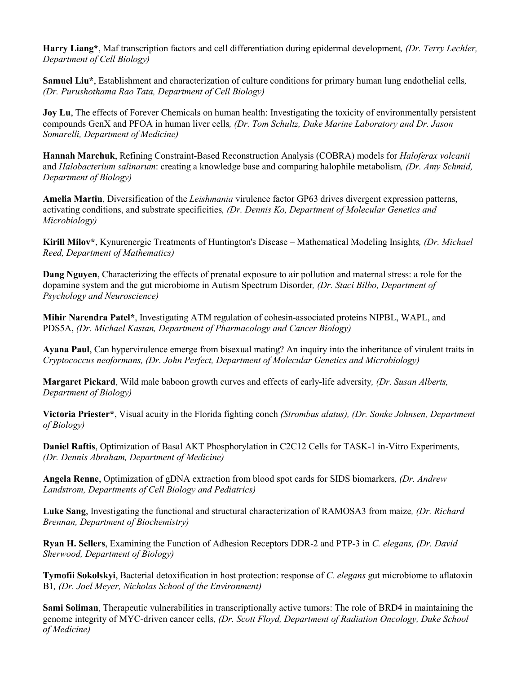**Harry Liang\***, Maf transcription factors and cell differentiation during epidermal development*, (Dr. Terry Lechler, Department of Cell Biology)*

**Samuel Liu\***, Establishment and characterization of culture conditions for primary human lung endothelial cells*, (Dr. Purushothama Rao Tata, Department of Cell Biology)*

**Joy Lu**, The effects of Forever Chemicals on human health: Investigating the toxicity of environmentally persistent compounds GenX and PFOA in human liver cells*, (Dr. Tom Schultz, Duke Marine Laboratory and Dr. Jason Somarelli, Department of Medicine)*

**Hannah Marchuk**, Refining Constraint-Based Reconstruction Analysis (COBRA) models for *Haloferax volcanii* and *Halobacterium salinarum*: creating a knowledge base and comparing halophile metabolism*, (Dr. Amy Schmid, Department of Biology)*

**Amelia Martin**, Diversification of the *Leishmania* virulence factor GP63 drives divergent expression patterns, activating conditions, and substrate specificities*, (Dr. Dennis Ko, Department of Molecular Genetics and Microbiology)*

**Kirill Milov\***, Kynurenergic Treatments of Huntington's Disease – Mathematical Modeling Insights*, (Dr. Michael Reed, Department of Mathematics)*

**Dang Nguyen**, Characterizing the effects of prenatal exposure to air pollution and maternal stress: a role for the dopamine system and the gut microbiome in Autism Spectrum Disorder*, (Dr. Staci Bilbo, Department of Psychology and Neuroscience)*

**Mihir Narendra Patel\***, Investigating ATM regulation of cohesin-associated proteins NIPBL, WAPL, and PDS5A, *(Dr. Michael Kastan, Department of Pharmacology and Cancer Biology)*

**Ayana Paul**, Can hypervirulence emerge from bisexual mating? An inquiry into the inheritance of virulent traits in *Cryptococcus neoformans, (Dr. John Perfect, Department of Molecular Genetics and Microbiology)*

**Margaret Pickard**, Wild male baboon growth curves and effects of early-life adversity*, (Dr. Susan Alberts, Department of Biology)*

**Victoria Priester\***, Visual acuity in the Florida fighting conch *(Strombus alatus), (Dr. Sonke Johnsen, Department of Biology)*

**Daniel Raftis**, Optimization of Basal AKT Phosphorylation in C2C12 Cells for TASK-1 in-Vitro Experiments*, (Dr. Dennis Abraham, Department of Medicine)*

**Angela Renne**, Optimization of gDNA extraction from blood spot cards for SIDS biomarkers*, (Dr. Andrew Landstrom, Departments of Cell Biology and Pediatrics)*

**Luke Sang**, Investigating the functional and structural characterization of RAMOSA3 from maize*, (Dr. Richard Brennan, Department of Biochemistry)*

**Ryan H. Sellers**, Examining the Function of Adhesion Receptors DDR-2 and PTP-3 in *C. elegans, (Dr. David Sherwood, Department of Biology)*

**Tymofii Sokolskyi**, Bacterial detoxification in host protection: response of *C. elegans* gut microbiome to aflatoxin B1*, (Dr. Joel Meyer, Nicholas School of the Environment)*

**Sami Soliman**, Therapeutic vulnerabilities in transcriptionally active tumors: The role of BRD4 in maintaining the genome integrity of MYC-driven cancer cells*, (Dr. Scott Floyd, Department of Radiation Oncology, Duke School of Medicine)*